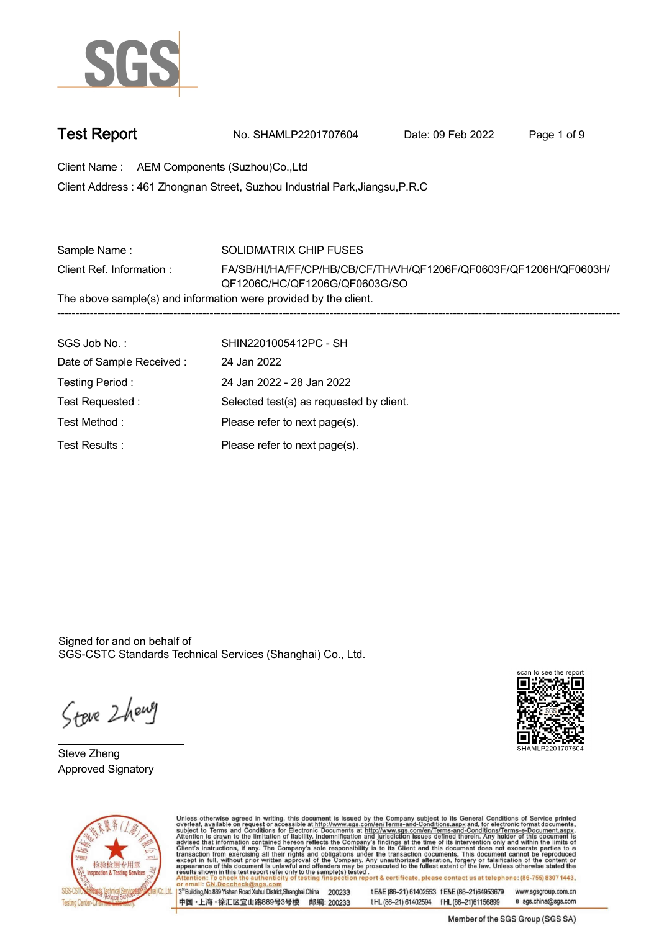

| <b>Test Report</b> | No. SHAMLP2201707604 | Date: 09 Feb 2022 | Page 1 of 9 |
|--------------------|----------------------|-------------------|-------------|
|                    |                      |                   |             |

**Client Name : AEM Components (Suzhou)Co.,Ltd .**

**461 Zhongnan Street, Suzhou Industrial Park,Jiangsu,P.R.C . Client Address :**

| Sample Name:                                                     | SOLIDMATRIX CHIP FUSES                                            |  |  |  |
|------------------------------------------------------------------|-------------------------------------------------------------------|--|--|--|
| Client Ref. Information:                                         | FA/SB/HI/HA/FF/CP/HB/CB/CF/TH/VH/QF1206F/QF0603F/QF1206H/QF0603H/ |  |  |  |
|                                                                  | QF1206C/HC/QF1206G/QF0603G/SO                                     |  |  |  |
| The above sample(s) and information were provided by the client. |                                                                   |  |  |  |
|                                                                  |                                                                   |  |  |  |
|                                                                  |                                                                   |  |  |  |

| SGS Job No.:              | SHIN2201005412PC - SH                    |
|---------------------------|------------------------------------------|
| Date of Sample Received : | 24 Jan 2022                              |
| Testing Period:           | 24 Jan 2022 - 28 Jan 2022                |
| Test Requested:           | Selected test(s) as requested by client. |
| Test Method:              | Please refer to next page(s).            |
| Test Results :            | Please refer to next page(s).            |

Signed for and on behalf of SGS-CSTC Standards Technical Services (Shanghai) Co., Ltd..

Steve 2 henry

**Steve Zheng. Approved Signatory .**





Unless otherwise agreed in writing, this document is issued by the Company subject to its General Conditions of Service printed overleaf, available on request or accessible at http://www.sgs.com/en/Terms-and-Conditions.asp

3<sup>'d</sup>Building, No.889 Yishan Road Xuhui District, Shanghai China 200233 中国·上海·徐汇区宜山路889号3号楼 邮编: 200233 tE&E (86-21) 61402553 fE&E (86-21)64953679 www.sgsgroup.com.cn e sgs.china@sgs.com tHL (86-21) 61402594 fHL (86-21) 61156899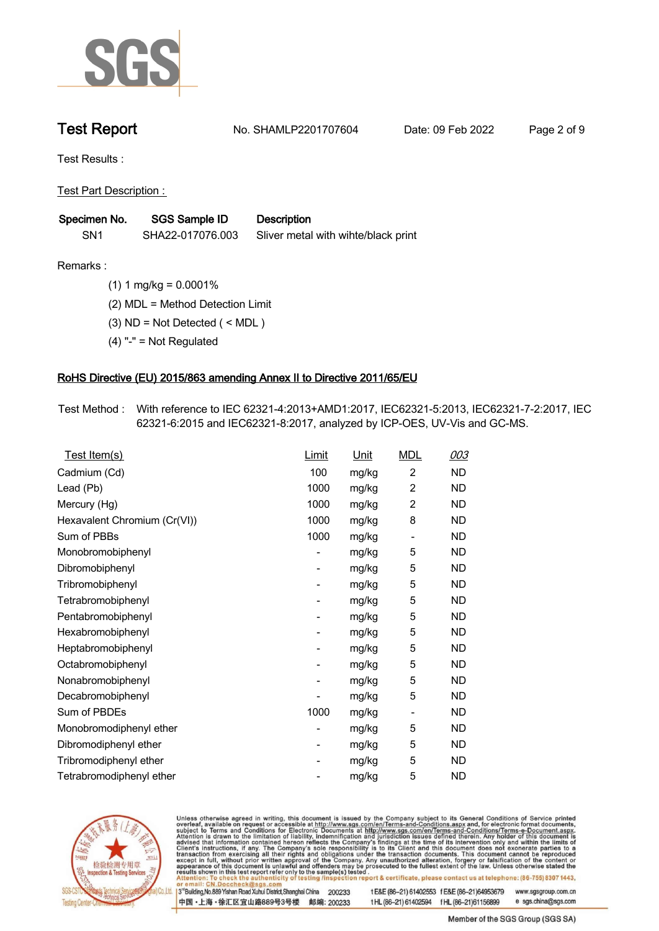

**Test Report. No. SHAMLP2201707604 . Date: 09 Feb 2022. Page 2 of 9.**

**Test Results :.**

**Test Part Description : .**

| Specimen No.    | <b>SGS Sample ID</b> | <b>Description</b>                  |
|-----------------|----------------------|-------------------------------------|
| SN <sub>1</sub> | SHA22-017076.003     | Sliver metal with wihte/black print |

**Remarks :.(1) 1 mg/kg = 0.0001% .**

**(2) MDL = Method Detection Limit .**

**(3) ND = Not Detected ( < MDL ) .**

**(4) "-" = Not Regulated .**

### **RoHS Directive (EU) 2015/863 amending Annex II to Directive 2011/65/EU.**

**Test Method :. With reference to IEC 62321-4:2013+AMD1:2017, IEC62321-5:2013, IEC62321-7-2:2017, IEC 62321-6:2015 and IEC62321-8:2017, analyzed by ICP-OES, UV-Vis and GC-MS. .**

| Test Item(s)                 | Limit | <u>Unit</u> | <b>MDL</b>               | 003       |
|------------------------------|-------|-------------|--------------------------|-----------|
| Cadmium (Cd)                 | 100   | mg/kg       | $\overline{2}$           | ND.       |
| Lead (Pb)                    | 1000  | mg/kg       | $\overline{2}$           | <b>ND</b> |
| Mercury (Hg)                 | 1000  | mg/kg       | $\overline{2}$           | <b>ND</b> |
| Hexavalent Chromium (Cr(VI)) | 1000  | mg/kg       | 8                        | <b>ND</b> |
| Sum of PBBs                  | 1000  | mg/kg       | $\overline{a}$           | ND        |
| Monobromobiphenyl            |       | mg/kg       | 5                        | ND.       |
| Dibromobiphenyl              | -     | mg/kg       | 5                        | ND.       |
| Tribromobiphenyl             |       | mg/kg       | 5                        | ND.       |
| Tetrabromobiphenyl           | -     | mg/kg       | 5                        | ND        |
| Pentabromobiphenyl           |       | mg/kg       | 5                        | <b>ND</b> |
| Hexabromobiphenyl            | -     | mg/kg       | 5                        | ND.       |
| Heptabromobiphenyl           |       | mg/kg       | 5                        | <b>ND</b> |
| Octabromobiphenyl            | -     | mg/kg       | 5                        | ND        |
| Nonabromobiphenyl            |       | mg/kg       | 5                        | ND.       |
| Decabromobiphenyl            |       | mg/kg       | 5                        | ND        |
| Sum of PBDEs                 | 1000  | mg/kg       | $\overline{\phantom{a}}$ | ND.       |
| Monobromodiphenyl ether      |       | mg/kg       | 5                        | ND        |
| Dibromodiphenyl ether        | -     | mg/kg       | 5                        | ND.       |
| Tribromodiphenyl ether       | -     | mg/kg       | 5                        | <b>ND</b> |
| Tetrabromodiphenyl ether     |       | mg/kg       | 5                        | <b>ND</b> |



Unless otherwise agreed in writing, this document is issued by the Company subject to its General Conditions of Service printed overleaf, available on request or accessible at http://www.sgs.com/en/Terms-and-Conditions.asp

3<sup>rd</sup> Building, No.889 Yishan Road Xuhui District, Shanghai China 200233 中国·上海·徐汇区宜山路889号3号楼 邮编: 200233 tE&E (86-21) 61402553 fE&E (86-21)64953679 www.sgsgroup.com.cn

t HL (86-21) 61402594 f HL (86-21) 61156899 e sgs.china@sgs.com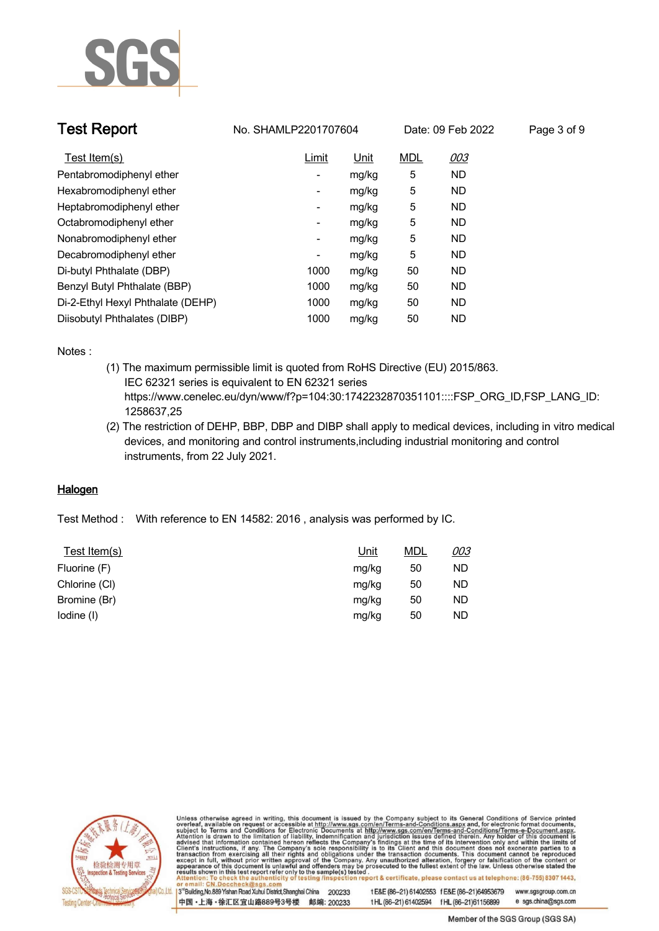

| <b>Test Report</b>                |                          | No. SHAMLP2201707604 |            | Date: 09 Feb 2022 | Page 3 of 9 |
|-----------------------------------|--------------------------|----------------------|------------|-------------------|-------------|
| Test Item(s)                      | Limit                    | Unit                 | <b>MDL</b> | <u>003</u>        |             |
| Pentabromodiphenyl ether          | $\overline{\phantom{a}}$ | mg/kg                | 5          | ND.               |             |
| Hexabromodiphenyl ether           | $\overline{\phantom{a}}$ | mg/kg                | 5          | ND.               |             |
| Heptabromodiphenyl ether          | $\overline{\phantom{a}}$ | mg/kg                | 5          | ND.               |             |
| Octabromodiphenyl ether           | $\overline{\phantom{a}}$ | mg/kg                | 5          | ND.               |             |
| Nonabromodiphenyl ether           | $\overline{\phantom{a}}$ | mg/kg                | 5          | <b>ND</b>         |             |
| Decabromodiphenyl ether           | $\overline{\phantom{a}}$ | mg/kg                | 5          | ND.               |             |
| Di-butyl Phthalate (DBP)          | 1000                     | mg/kg                | 50         | ND.               |             |
| Benzyl Butyl Phthalate (BBP)      | 1000                     | mg/kg                | 50         | ND.               |             |
| Di-2-Ethyl Hexyl Phthalate (DEHP) | 1000                     | mg/kg                | 50         | ND.               |             |
| Diisobutyl Phthalates (DIBP)      | 1000                     | mg/kg                | 50         | ND.               |             |

**Notes :.**

- **(1) The maximum permissible limit is quoted from RoHS Directive (EU) 2015/863. IEC 62321 series is equivalent to EN 62321 series https://www.cenelec.eu/dyn/www/f?p=104:30:1742232870351101::::FSP\_ORG\_ID,FSP\_LANG\_ID: 1258637,25**
- **(2) The restriction of DEHP, BBP, DBP and DIBP shall apply to medical devices, including in vitro medical devices, and monitoring and control instruments,including industrial monitoring and control instruments, from 22 July 2021. .**

### **Halogen.**

**Test Method :. With reference to EN 14582: 2016 , analysis was performed by IC. .**

| Test Item(s)  | Unit  | <u>MDL</u> | 003 |
|---------------|-------|------------|-----|
| Fluorine (F)  | mg/kg | 50         | ND. |
| Chlorine (CI) | mg/kg | 50         | ND. |
| Bromine (Br)  | mg/kg | 50         | ND. |
| lodine (I)    | mg/kg | 50         | ND. |



Unless otherwise agreed in writing, this document is issued by the Company subject to its General Conditions of Service printed overleaf, available on request or accessible at http://www.sgs.com/en/Terms-and-Conditions.asp

3<sup>14</sup> Building, No.889 Yishan Road Xuhui District, Shanghai China 200233 中国·上海·徐汇区宜山路889号3号楼 邮编: 200233 t E&E (86-21) 61402553 f E&E (86-21)64953679 www.sgsgroup.com.cn

t HL (86-21) 61402594 f HL (86-21) 61156899 e sgs.china@sgs.com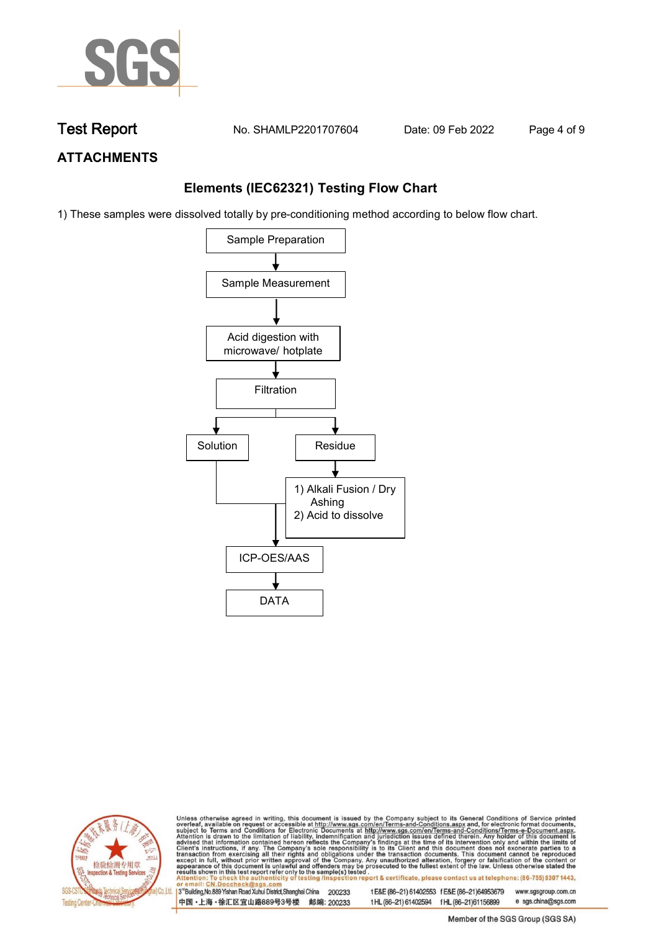

**Test Report. No. SHAMLP2201707604 . Date: 09 Feb 2022. Page 4 of 9.**

# **ATTACHMENTS**

# **Elements (IEC62321) Testing Flow Chart**

1) These samples were dissolved totally by pre-conditioning method according to below flow chart.





Unless otherwise agreed in writing, this document is issued by the Company subject to its General Conditions of Service printed overleaf, available on request or accessible at http://www.sgs.com/en/Terms-and-Conditions.asp

3<sup>rd</sup> Building, No.889 Yishan Road Xuhui District, Shanghai China 200233 中国·上海·徐汇区宜山路889号3号楼 邮编: 200233 tE&E (86-21) 61402553 fE&E (86-21)64953679 www.sgsgroup.com.cn

e sgs.china@sgs.com t HL (86-21) 61402594 f HL (86-21) 61156899 Member of the SGS Group (SGS SA)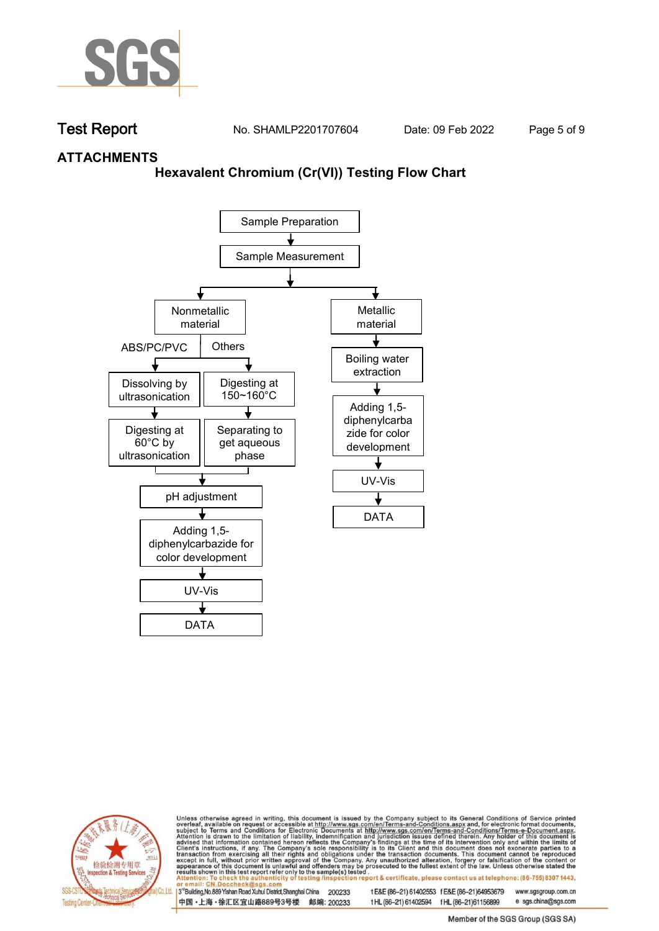

**Test Report. No. SHAMLP2201707604 . Date: 09 Feb 2022. Page 5 of 9.**

## **ATTACHMENTS**

## **Hexavalent Chromium (Cr(VI)) Testing Flow Chart**





Unless otherwise agreed in writing, this document is issued by the Company subject to its General Conditions of Service printed overleaf, available on request or accessible at http://www.sgs.com/en/Terms-and-Conditions.asp

3<sup>rd</sup> Building, No.889 Yishan Road Xuhui District, Shanghai China 200233 中国·上海·徐汇区宜山路889号3号楼 邮编: 200233 tE&E (86-21) 61402553 fE&E (86-21)64953679 www.sgsgroup.com.cn

t HL (86-21) 61402594 f HL (86-21)61156899 e sgs.china@sgs.com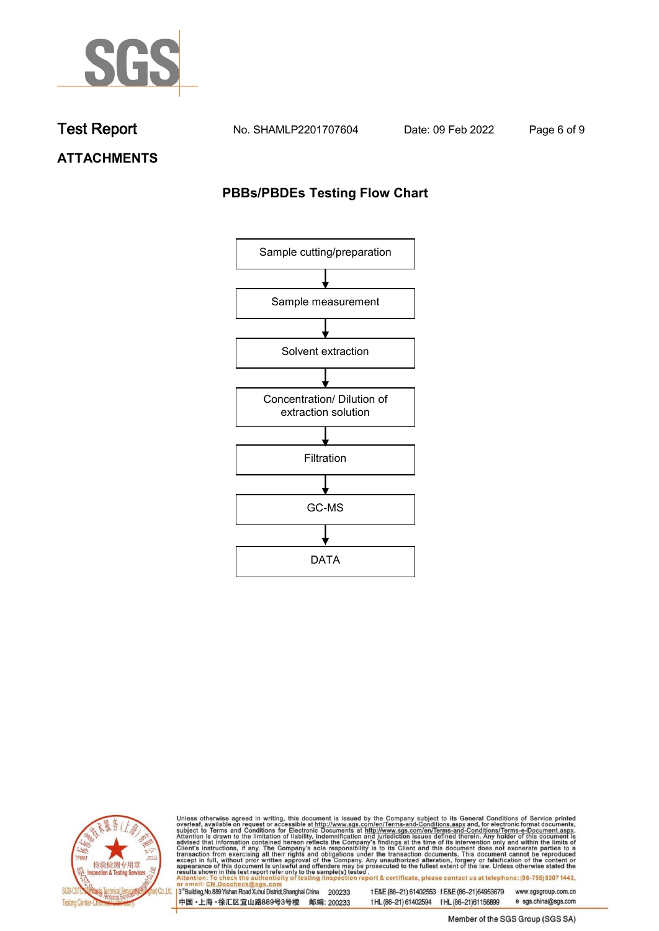

**Test Report. No. SHAMLP2201707604 . Date: 09 Feb 2022. Page 6 of 9.**

**ATTACHMENTS**

# **PBBs/PBDEs Testing Flow Chart**





Unless otherwise agreed in writing, this document is issued by the Company subject to its General Conditions of Service printed overleaf, available on request or accessible at http://www.sgs.com/en/Terms-and-Conditions.asp

3<sup>'</sup>Building, No.889 Yishan Road Xuhui District, Shanghai China 200233 中国·上海·徐汇区宜山路889号3号楼 邮编: 200233

tE&E (86-21) 61402553 fE&E (86-21)64953679 www.sgsgroup.com.cn

t HL (86-21) 61402594 f HL (86-21) 61156899 e sgs.china@sgs.com

Member of the SGS Group (SGS SA)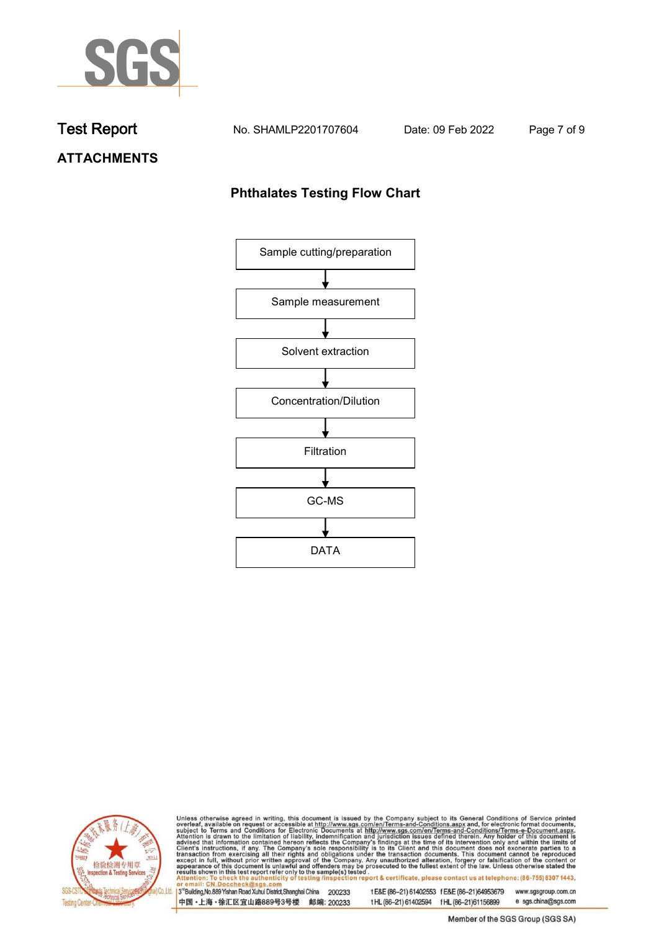

**Test Report. No. SHAMLP2201707604 . Date: 09 Feb 2022. Page 7 of 9.**

**ATTACHMENTS**

# **Phthalates Testing Flow Chart**





Unless otherwise agreed in writing, this document is issued by the Company subject to its General Conditions of Service printed overleaf, available on request or accessible at http://www.sgs.com/en/Terms-and-Conditions.asp

3<sup>'</sup>Building, No.889 Yishan Road Xuhui District, Shanghai China 200233 中国·上海·徐汇区宜山路889号3号楼 邮编: 200233

tE&E (86-21) 61402553 fE&E (86-21)64953679 www.sgsgroup.com.cn

e sgs.china@sgs.com t HL (86-21) 61402594 f HL (86-21) 61156899 Member of the SGS Group (SGS SA)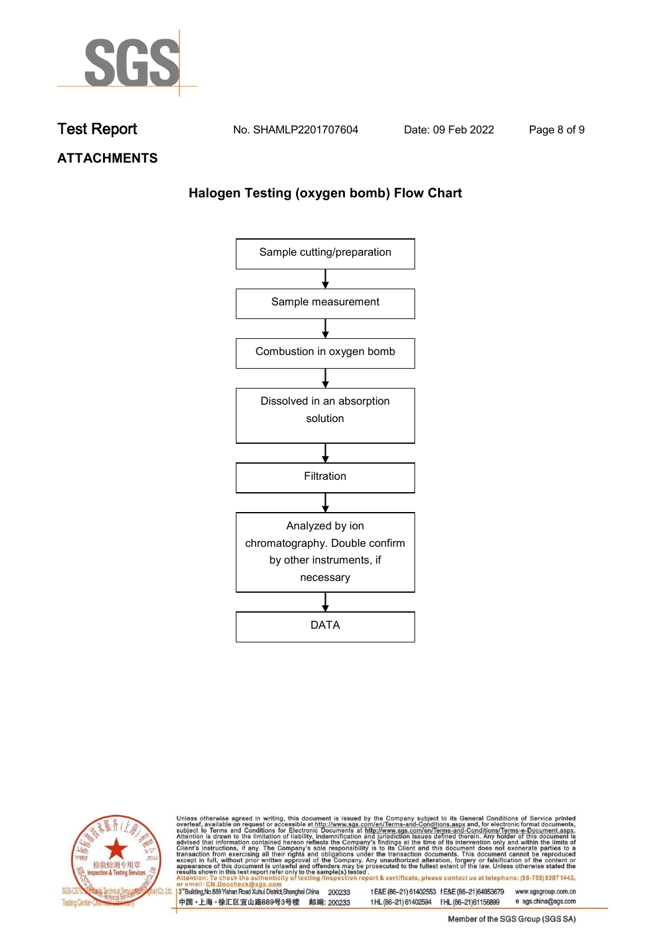

**Test Report. No. SHAMLP2201707604 . Date: 09 Feb 2022. Page 8 of 9.**

**ATTACHMENTS**

# **Halogen Testing (oxygen bomb) Flow Chart**





Unless otherwise agreed in writing, this document is issued by the Company subject to its General Conditions of Service printed overleaf, available on request or accessible at http://www.sgs.com/en/Terms-and-Conditions.asp

3<sup>'</sup>Building, No.889 Yishan Road Xuhui District, Shanghai China 200233 中国·上海·徐汇区宜山路889号3号楼 邮编: 200233

tE&E (86-21) 61402553 fE&E (86-21)64953679 www.sgsgroup.com.cn

e sgs.china@sgs.com t HL (86-21) 61402594 f HL (86-21) 61156899